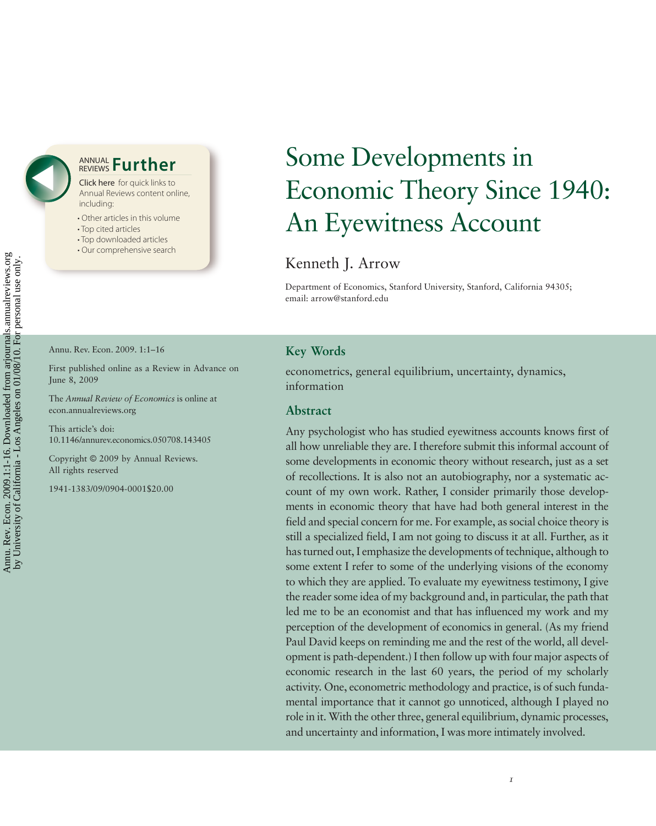### **ANNUAL Further**

Click here for quick links to Annual Reviews content online, including:

- Other articles in this volume
- Top cited articles
- Top downloaded articles
- Our comprehensive search

## Some Developments in Economic Theory Since 1940: An Eyewitness Account

### Kenneth J. Arrow

Department of Economics, Stanford University, Stanford, California 94305; email: arrow@stanford.edu

Annu. Rev. Econ. 2009. 1:1–16

First published online as a Review in Advance on June 8, 2009

The Annual Review of Economics is online at econ.annualreviews.org

This article's doi: 10.1146/annurev.economics.050708.143405

Copyright © 2009 by Annual Reviews. All rights reserved

1941-1383/09/0904-0001\$20.00

#### Key Words

econometrics, general equilibrium, uncertainty, dynamics, information

#### Abstract

Any psychologist who has studied eyewitness accounts knows first of all how unreliable they are. I therefore submit this informal account of some developments in economic theory without research, just as a set of recollections. It is also not an autobiography, nor a systematic account of my own work. Rather, I consider primarily those developments in economic theory that have had both general interest in the field and special concern for me. For example, as social choice theory is still a specialized field, I am not going to discuss it at all. Further, as it has turned out, I emphasize the developments of technique, although to some extent I refer to some of the underlying visions of the economy to which they are applied. To evaluate my eyewitness testimony, I give the reader some idea of my background and, in particular, the path that led me to be an economist and that has influenced my work and my perception of the development of economics in general. (As my friend Paul David keeps on reminding me and the rest of the world, all development is path-dependent.) I then follow up with four major aspects of economic research in the last 60 years, the period of my scholarly activity. One, econometric methodology and practice, is of such fundamental importance that it cannot go unnoticed, although I played no role in it. With the other three, general equilibrium, dynamic processes, and uncertainty and information, I was more intimately involved.

1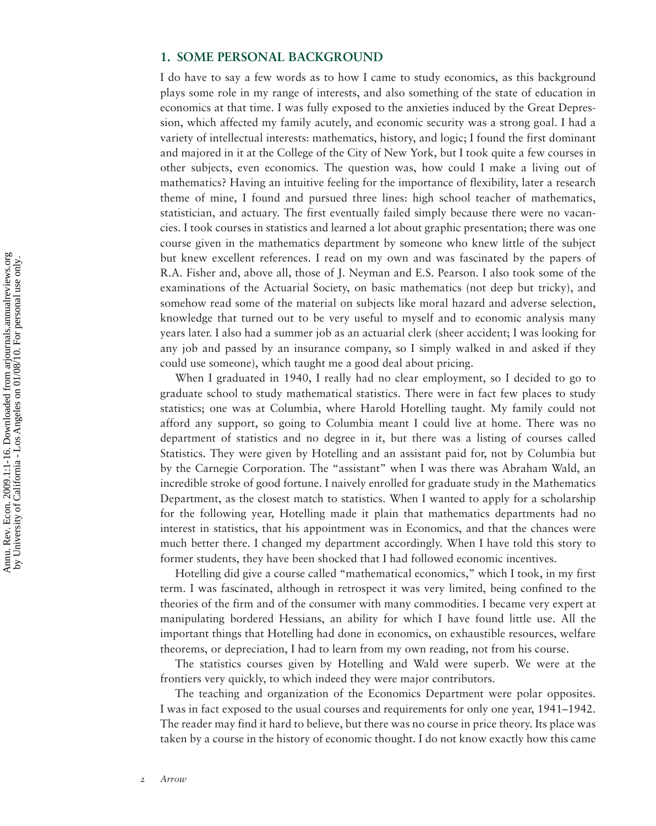#### 1. SOME PERSONAL BACKGROUND

I do have to say a few words as to how I came to study economics, as this background plays some role in my range of interests, and also something of the state of education in economics at that time. I was fully exposed to the anxieties induced by the Great Depression, which affected my family acutely, and economic security was a strong goal. I had a variety of intellectual interests: mathematics, history, and logic; I found the first dominant and majored in it at the College of the City of New York, but I took quite a few courses in other subjects, even economics. The question was, how could I make a living out of mathematics? Having an intuitive feeling for the importance of flexibility, later a research theme of mine, I found and pursued three lines: high school teacher of mathematics, statistician, and actuary. The first eventually failed simply because there were no vacancies. I took courses in statistics and learned a lot about graphic presentation; there was one course given in the mathematics department by someone who knew little of the subject but knew excellent references. I read on my own and was fascinated by the papers of R.A. Fisher and, above all, those of J. Neyman and E.S. Pearson. I also took some of the examinations of the Actuarial Society, on basic mathematics (not deep but tricky), and somehow read some of the material on subjects like moral hazard and adverse selection, knowledge that turned out to be very useful to myself and to economic analysis many years later. I also had a summer job as an actuarial clerk (sheer accident; I was looking for any job and passed by an insurance company, so I simply walked in and asked if they could use someone), which taught me a good deal about pricing.

When I graduated in 1940, I really had no clear employment, so I decided to go to graduate school to study mathematical statistics. There were in fact few places to study statistics; one was at Columbia, where Harold Hotelling taught. My family could not afford any support, so going to Columbia meant I could live at home. There was no department of statistics and no degree in it, but there was a listing of courses called Statistics. They were given by Hotelling and an assistant paid for, not by Columbia but by the Carnegie Corporation. The "assistant" when I was there was Abraham Wald, an incredible stroke of good fortune. I naively enrolled for graduate study in the Mathematics Department, as the closest match to statistics. When I wanted to apply for a scholarship for the following year, Hotelling made it plain that mathematics departments had no interest in statistics, that his appointment was in Economics, and that the chances were much better there. I changed my department accordingly. When I have told this story to former students, they have been shocked that I had followed economic incentives.

Hotelling did give a course called "mathematical economics," which I took, in my first term. I was fascinated, although in retrospect it was very limited, being confined to the theories of the firm and of the consumer with many commodities. I became very expert at manipulating bordered Hessians, an ability for which I have found little use. All the important things that Hotelling had done in economics, on exhaustible resources, welfare theorems, or depreciation, I had to learn from my own reading, not from his course.

The statistics courses given by Hotelling and Wald were superb. We were at the frontiers very quickly, to which indeed they were major contributors.

The teaching and organization of the Economics Department were polar opposites. I was in fact exposed to the usual courses and requirements for only one year, 1941–1942. The reader may find it hard to believe, but there was no course in price theory. Its place was taken by a course in the history of economic thought. I do not know exactly how this came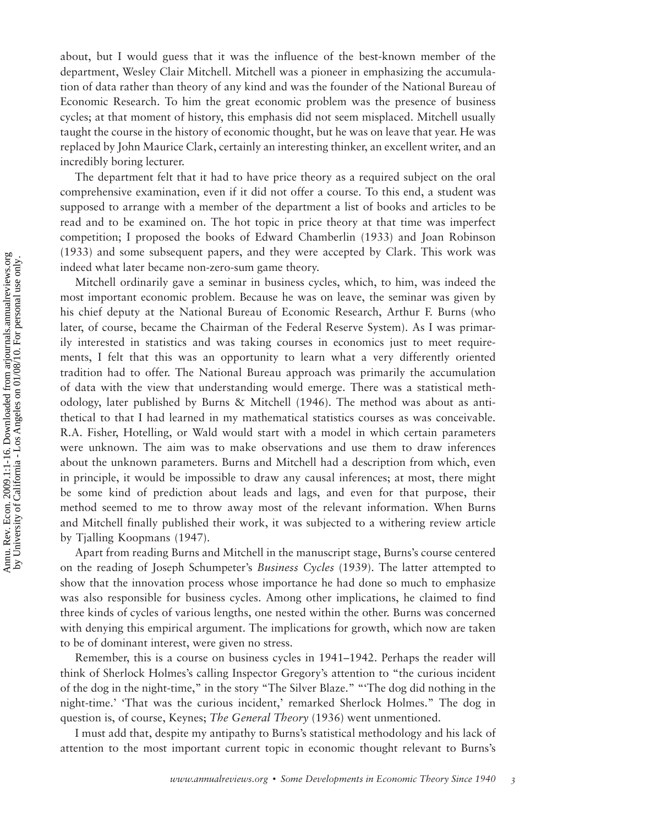about, but I would guess that it was the influence of the best-known member of the department, Wesley Clair Mitchell. Mitchell was a pioneer in emphasizing the accumulation of data rather than theory of any kind and was the founder of the National Bureau of Economic Research. To him the great economic problem was the presence of business cycles; at that moment of history, this emphasis did not seem misplaced. Mitchell usually taught the course in the history of economic thought, but he was on leave that year. He was replaced by John Maurice Clark, certainly an interesting thinker, an excellent writer, and an incredibly boring lecturer.

The department felt that it had to have price theory as a required subject on the oral comprehensive examination, even if it did not offer a course. To this end, a student was supposed to arrange with a member of the department a list of books and articles to be read and to be examined on. The hot topic in price theory at that time was imperfect competition; I proposed the books of Edward Chamberlin (1933) and Joan Robinson (1933) and some subsequent papers, and they were accepted by Clark. This work was indeed what later became non-zero-sum game theory.

Mitchell ordinarily gave a seminar in business cycles, which, to him, was indeed the most important economic problem. Because he was on leave, the seminar was given by his chief deputy at the National Bureau of Economic Research, Arthur F. Burns (who later, of course, became the Chairman of the Federal Reserve System). As I was primarily interested in statistics and was taking courses in economics just to meet requirements, I felt that this was an opportunity to learn what a very differently oriented tradition had to offer. The National Bureau approach was primarily the accumulation of data with the view that understanding would emerge. There was a statistical methodology, later published by Burns & Mitchell (1946). The method was about as antithetical to that I had learned in my mathematical statistics courses as was conceivable. R.A. Fisher, Hotelling, or Wald would start with a model in which certain parameters were unknown. The aim was to make observations and use them to draw inferences about the unknown parameters. Burns and Mitchell had a description from which, even in principle, it would be impossible to draw any causal inferences; at most, there might be some kind of prediction about leads and lags, and even for that purpose, their method seemed to me to throw away most of the relevant information. When Burns and Mitchell finally published their work, it was subjected to a withering review article by Tjalling Koopmans (1947).

Apart from reading Burns and Mitchell in the manuscript stage, Burns's course centered on the reading of Joseph Schumpeter's Business Cycles (1939). The latter attempted to show that the innovation process whose importance he had done so much to emphasize was also responsible for business cycles. Among other implications, he claimed to find three kinds of cycles of various lengths, one nested within the other. Burns was concerned with denying this empirical argument. The implications for growth, which now are taken to be of dominant interest, were given no stress.

Remember, this is a course on business cycles in 1941–1942. Perhaps the reader will think of Sherlock Holmes's calling Inspector Gregory's attention to "the curious incident of the dog in the night-time," in the story "The Silver Blaze." "'The dog did nothing in the night-time.' 'That was the curious incident,' remarked Sherlock Holmes." The dog in question is, of course, Keynes; The General Theory (1936) went unmentioned.

I must add that, despite my antipathy to Burns's statistical methodology and his lack of attention to the most important current topic in economic thought relevant to Burns's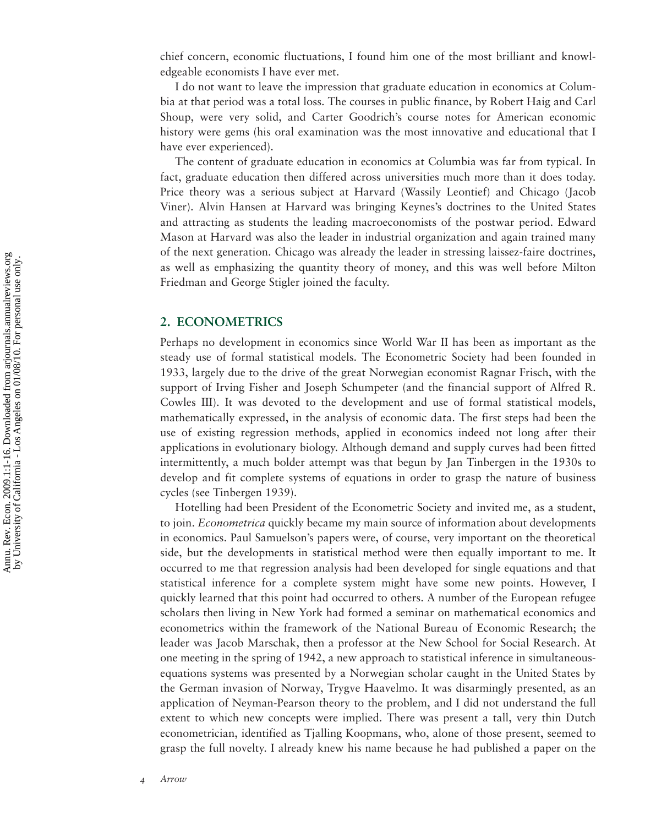chief concern, economic fluctuations, I found him one of the most brilliant and knowledgeable economists I have ever met.

I do not want to leave the impression that graduate education in economics at Columbia at that period was a total loss. The courses in public finance, by Robert Haig and Carl Shoup, were very solid, and Carter Goodrich's course notes for American economic history were gems (his oral examination was the most innovative and educational that I have ever experienced).

The content of graduate education in economics at Columbia was far from typical. In fact, graduate education then differed across universities much more than it does today. Price theory was a serious subject at Harvard (Wassily Leontief) and Chicago (Jacob Viner). Alvin Hansen at Harvard was bringing Keynes's doctrines to the United States and attracting as students the leading macroeconomists of the postwar period. Edward Mason at Harvard was also the leader in industrial organization and again trained many of the next generation. Chicago was already the leader in stressing laissez-faire doctrines, as well as emphasizing the quantity theory of money, and this was well before Milton Friedman and George Stigler joined the faculty.

#### 2. ECONOMETRICS

Perhaps no development in economics since World War II has been as important as the steady use of formal statistical models. The Econometric Society had been founded in 1933, largely due to the drive of the great Norwegian economist Ragnar Frisch, with the support of Irving Fisher and Joseph Schumpeter (and the financial support of Alfred R. Cowles III). It was devoted to the development and use of formal statistical models, mathematically expressed, in the analysis of economic data. The first steps had been the use of existing regression methods, applied in economics indeed not long after their applications in evolutionary biology. Although demand and supply curves had been fitted intermittently, a much bolder attempt was that begun by Jan Tinbergen in the 1930s to develop and fit complete systems of equations in order to grasp the nature of business cycles (see Tinbergen 1939).

Hotelling had been President of the Econometric Society and invited me, as a student, to join. Econometrica quickly became my main source of information about developments in economics. Paul Samuelson's papers were, of course, very important on the theoretical side, but the developments in statistical method were then equally important to me. It occurred to me that regression analysis had been developed for single equations and that statistical inference for a complete system might have some new points. However, I quickly learned that this point had occurred to others. A number of the European refugee scholars then living in New York had formed a seminar on mathematical economics and econometrics within the framework of the National Bureau of Economic Research; the leader was Jacob Marschak, then a professor at the New School for Social Research. At one meeting in the spring of 1942, a new approach to statistical inference in simultaneousequations systems was presented by a Norwegian scholar caught in the United States by the German invasion of Norway, Trygve Haavelmo. It was disarmingly presented, as an application of Neyman-Pearson theory to the problem, and I did not understand the full extent to which new concepts were implied. There was present a tall, very thin Dutch econometrician, identified as Tjalling Koopmans, who, alone of those present, seemed to grasp the full novelty. I already knew his name because he had published a paper on the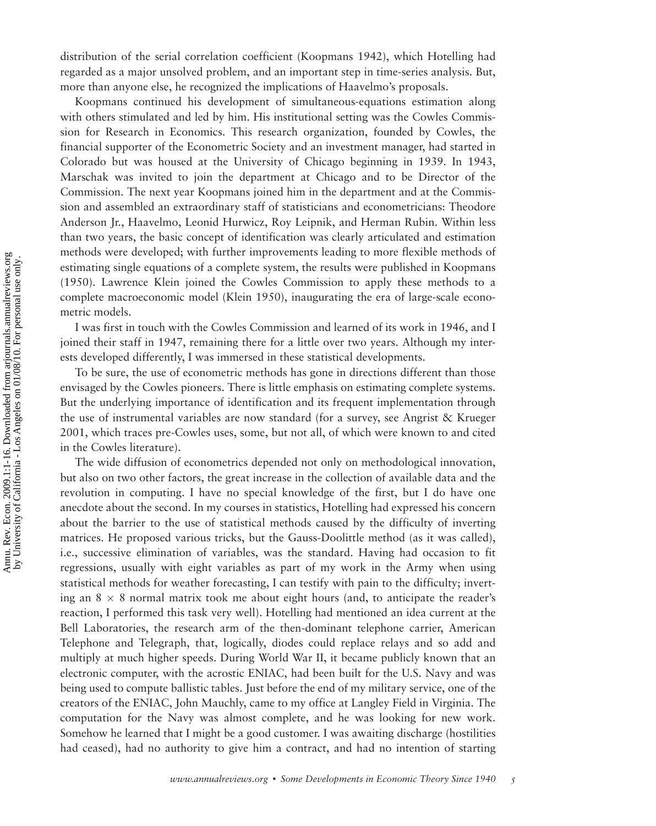distribution of the serial correlation coefficient (Koopmans 1942), which Hotelling had regarded as a major unsolved problem, and an important step in time-series analysis. But, more than anyone else, he recognized the implications of Haavelmo's proposals.

Koopmans continued his development of simultaneous-equations estimation along with others stimulated and led by him. His institutional setting was the Cowles Commission for Research in Economics. This research organization, founded by Cowles, the financial supporter of the Econometric Society and an investment manager, had started in Colorado but was housed at the University of Chicago beginning in 1939. In 1943, Marschak was invited to join the department at Chicago and to be Director of the Commission. The next year Koopmans joined him in the department and at the Commission and assembled an extraordinary staff of statisticians and econometricians: Theodore Anderson Jr., Haavelmo, Leonid Hurwicz, Roy Leipnik, and Herman Rubin. Within less than two years, the basic concept of identification was clearly articulated and estimation methods were developed; with further improvements leading to more flexible methods of estimating single equations of a complete system, the results were published in Koopmans (1950). Lawrence Klein joined the Cowles Commission to apply these methods to a complete macroeconomic model (Klein 1950), inaugurating the era of large-scale econometric models.

I was first in touch with the Cowles Commission and learned of its work in 1946, and I joined their staff in 1947, remaining there for a little over two years. Although my interests developed differently, I was immersed in these statistical developments.

To be sure, the use of econometric methods has gone in directions different than those envisaged by the Cowles pioneers. There is little emphasis on estimating complete systems. But the underlying importance of identification and its frequent implementation through the use of instrumental variables are now standard (for a survey, see Angrist & Krueger 2001, which traces pre-Cowles uses, some, but not all, of which were known to and cited in the Cowles literature).

The wide diffusion of econometrics depended not only on methodological innovation, but also on two other factors, the great increase in the collection of available data and the revolution in computing. I have no special knowledge of the first, but I do have one anecdote about the second. In my courses in statistics, Hotelling had expressed his concern about the barrier to the use of statistical methods caused by the difficulty of inverting matrices. He proposed various tricks, but the Gauss-Doolittle method (as it was called), i.e., successive elimination of variables, was the standard. Having had occasion to fit regressions, usually with eight variables as part of my work in the Army when using statistical methods for weather forecasting, I can testify with pain to the difficulty; inverting an  $8 \times 8$  normal matrix took me about eight hours (and, to anticipate the reader's reaction, I performed this task very well). Hotelling had mentioned an idea current at the Bell Laboratories, the research arm of the then-dominant telephone carrier, American Telephone and Telegraph, that, logically, diodes could replace relays and so add and multiply at much higher speeds. During World War II, it became publicly known that an electronic computer, with the acrostic ENIAC, had been built for the U.S. Navy and was being used to compute ballistic tables. Just before the end of my military service, one of the creators of the ENIAC, John Mauchly, came to my office at Langley Field in Virginia. The computation for the Navy was almost complete, and he was looking for new work. Somehow he learned that I might be a good customer. I was awaiting discharge (hostilities had ceased), had no authority to give him a contract, and had no intention of starting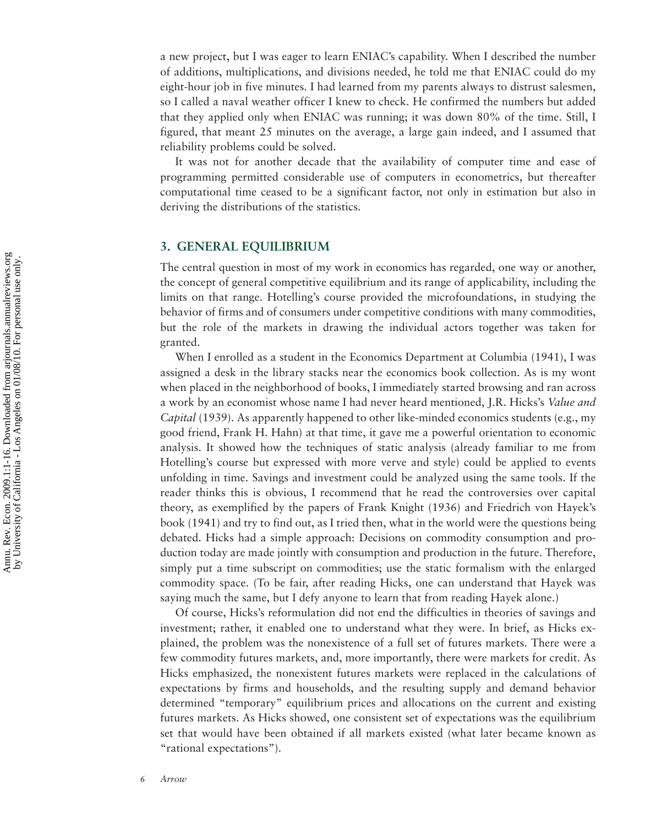a new project, but I was eager to learn ENIAC's capability. When I described the number of additions, multiplications, and divisions needed, he told me that ENIAC could do my eight-hour job in five minutes. I had learned from my parents always to distrust salesmen, so I called a naval weather officer I knew to check. He confirmed the numbers but added that they applied only when ENIAC was running; it was down 80% of the time. Still, I figured, that meant 25 minutes on the average, a large gain indeed, and I assumed that reliability problems could be solved.

It was not for another decade that the availability of computer time and ease of programming permitted considerable use of computers in econometrics, but thereafter computational time ceased to be a significant factor, not only in estimation but also in deriving the distributions of the statistics.

#### 3. GENERAL EQUILIBRIUM

The central question in most of my work in economics has regarded, one way or another, the concept of general competitive equilibrium and its range of applicability, including the limits on that range. Hotelling's course provided the microfoundations, in studying the behavior of firms and of consumers under competitive conditions with many commodities, but the role of the markets in drawing the individual actors together was taken for granted.

When I enrolled as a student in the Economics Department at Columbia (1941), I was assigned a desk in the library stacks near the economics book collection. As is my wont when placed in the neighborhood of books, I immediately started browsing and ran across a work by an economist whose name I had never heard mentioned, J.R. Hicks's Value and Capital (1939). As apparently happened to other like-minded economics students (e.g., my good friend, Frank H. Hahn) at that time, it gave me a powerful orientation to economic analysis. It showed how the techniques of static analysis (already familiar to me from Hotelling's course but expressed with more verve and style) could be applied to events unfolding in time. Savings and investment could be analyzed using the same tools. If the reader thinks this is obvious, I recommend that he read the controversies over capital theory, as exemplified by the papers of Frank Knight (1936) and Friedrich von Hayek's book (1941) and try to find out, as I tried then, what in the world were the questions being debated. Hicks had a simple approach: Decisions on commodity consumption and production today are made jointly with consumption and production in the future. Therefore, simply put a time subscript on commodities; use the static formalism with the enlarged commodity space. (To be fair, after reading Hicks, one can understand that Hayek was saying much the same, but I defy anyone to learn that from reading Hayek alone.)

Of course, Hicks's reformulation did not end the difficulties in theories of savings and investment; rather, it enabled one to understand what they were. In brief, as Hicks explained, the problem was the nonexistence of a full set of futures markets. There were a few commodity futures markets, and, more importantly, there were markets for credit. As Hicks emphasized, the nonexistent futures markets were replaced in the calculations of expectations by firms and households, and the resulting supply and demand behavior determined "temporary" equilibrium prices and allocations on the current and existing futures markets. As Hicks showed, one consistent set of expectations was the equilibrium set that would have been obtained if all markets existed (what later became known as "rational expectations").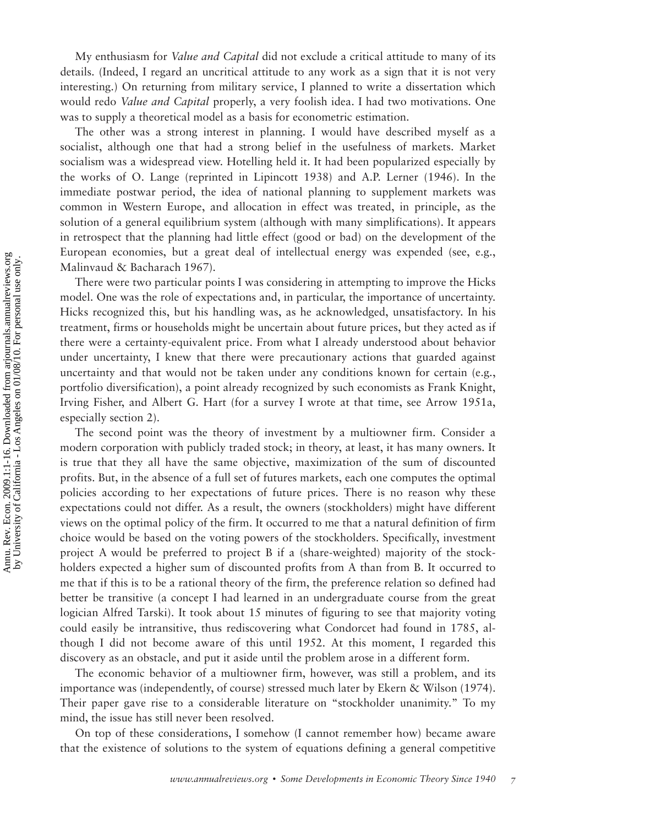My enthusiasm for Value and Capital did not exclude a critical attitude to many of its details. (Indeed, I regard an uncritical attitude to any work as a sign that it is not very interesting.) On returning from military service, I planned to write a dissertation which would redo *Value and Capital* properly, a very foolish idea. I had two motivations. One was to supply a theoretical model as a basis for econometric estimation.

The other was a strong interest in planning. I would have described myself as a socialist, although one that had a strong belief in the usefulness of markets. Market socialism was a widespread view. Hotelling held it. It had been popularized especially by the works of O. Lange (reprinted in Lipincott 1938) and A.P. Lerner (1946). In the immediate postwar period, the idea of national planning to supplement markets was common in Western Europe, and allocation in effect was treated, in principle, as the solution of a general equilibrium system (although with many simplifications). It appears in retrospect that the planning had little effect (good or bad) on the development of the European economies, but a great deal of intellectual energy was expended (see, e.g., Malinvaud & Bacharach 1967).

There were two particular points I was considering in attempting to improve the Hicks model. One was the role of expectations and, in particular, the importance of uncertainty. Hicks recognized this, but his handling was, as he acknowledged, unsatisfactory. In his treatment, firms or households might be uncertain about future prices, but they acted as if there were a certainty-equivalent price. From what I already understood about behavior under uncertainty, I knew that there were precautionary actions that guarded against uncertainty and that would not be taken under any conditions known for certain (e.g., portfolio diversification), a point already recognized by such economists as Frank Knight, Irving Fisher, and Albert G. Hart (for a survey I wrote at that time, see Arrow 1951a, especially section 2).

The second point was the theory of investment by a multiowner firm. Consider a modern corporation with publicly traded stock; in theory, at least, it has many owners. It is true that they all have the same objective, maximization of the sum of discounted profits. But, in the absence of a full set of futures markets, each one computes the optimal policies according to her expectations of future prices. There is no reason why these expectations could not differ. As a result, the owners (stockholders) might have different views on the optimal policy of the firm. It occurred to me that a natural definition of firm choice would be based on the voting powers of the stockholders. Specifically, investment project A would be preferred to project B if a (share-weighted) majority of the stockholders expected a higher sum of discounted profits from A than from B. It occurred to me that if this is to be a rational theory of the firm, the preference relation so defined had better be transitive (a concept I had learned in an undergraduate course from the great logician Alfred Tarski). It took about 15 minutes of figuring to see that majority voting could easily be intransitive, thus rediscovering what Condorcet had found in 1785, although I did not become aware of this until 1952. At this moment, I regarded this discovery as an obstacle, and put it aside until the problem arose in a different form.

The economic behavior of a multiowner firm, however, was still a problem, and its importance was (independently, of course) stressed much later by Ekern & Wilson (1974). Their paper gave rise to a considerable literature on "stockholder unanimity." To my mind, the issue has still never been resolved.

On top of these considerations, I somehow (I cannot remember how) became aware that the existence of solutions to the system of equations defining a general competitive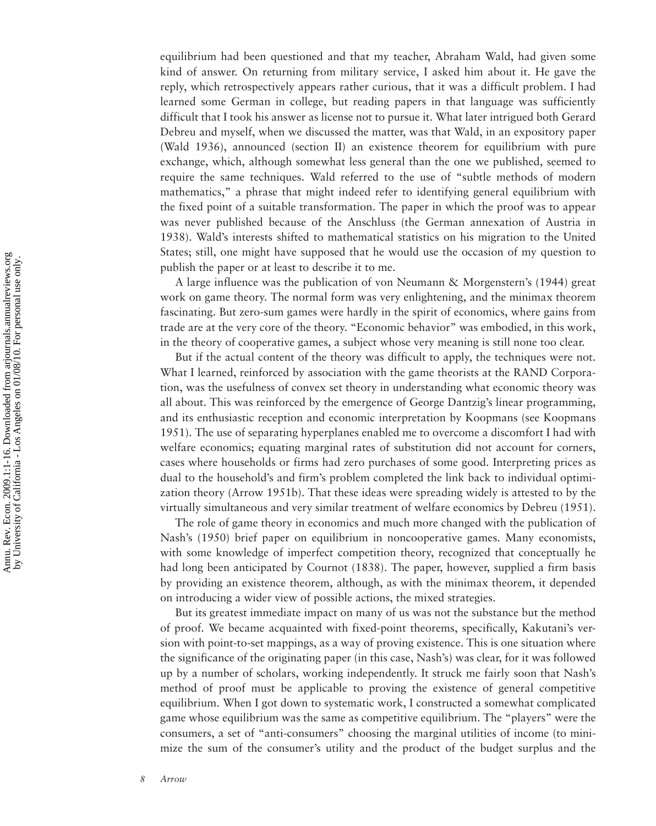equilibrium had been questioned and that my teacher, Abraham Wald, had given some kind of answer. On returning from military service, I asked him about it. He gave the reply, which retrospectively appears rather curious, that it was a difficult problem. I had learned some German in college, but reading papers in that language was sufficiently difficult that I took his answer as license not to pursue it. What later intrigued both Gerard Debreu and myself, when we discussed the matter, was that Wald, in an expository paper (Wald 1936), announced (section II) an existence theorem for equilibrium with pure exchange, which, although somewhat less general than the one we published, seemed to require the same techniques. Wald referred to the use of "subtle methods of modern mathematics," a phrase that might indeed refer to identifying general equilibrium with the fixed point of a suitable transformation. The paper in which the proof was to appear was never published because of the Anschluss (the German annexation of Austria in 1938). Wald's interests shifted to mathematical statistics on his migration to the United States; still, one might have supposed that he would use the occasion of my question to publish the paper or at least to describe it to me.

A large influence was the publication of von Neumann & Morgenstern's (1944) great work on game theory. The normal form was very enlightening, and the minimax theorem fascinating. But zero-sum games were hardly in the spirit of economics, where gains from trade are at the very core of the theory. "Economic behavior" was embodied, in this work, in the theory of cooperative games, a subject whose very meaning is still none too clear.

But if the actual content of the theory was difficult to apply, the techniques were not. What I learned, reinforced by association with the game theorists at the RAND Corporation, was the usefulness of convex set theory in understanding what economic theory was all about. This was reinforced by the emergence of George Dantzig's linear programming, and its enthusiastic reception and economic interpretation by Koopmans (see Koopmans 1951). The use of separating hyperplanes enabled me to overcome a discomfort I had with welfare economics; equating marginal rates of substitution did not account for corners, cases where households or firms had zero purchases of some good. Interpreting prices as dual to the household's and firm's problem completed the link back to individual optimization theory (Arrow 1951b). That these ideas were spreading widely is attested to by the virtually simultaneous and very similar treatment of welfare economics by Debreu (1951).

The role of game theory in economics and much more changed with the publication of Nash's (1950) brief paper on equilibrium in noncooperative games. Many economists, with some knowledge of imperfect competition theory, recognized that conceptually he had long been anticipated by Cournot (1838). The paper, however, supplied a firm basis by providing an existence theorem, although, as with the minimax theorem, it depended on introducing a wider view of possible actions, the mixed strategies.

But its greatest immediate impact on many of us was not the substance but the method of proof. We became acquainted with fixed-point theorems, specifically, Kakutani's version with point-to-set mappings, as a way of proving existence. This is one situation where the significance of the originating paper (in this case, Nash's) was clear, for it was followed up by a number of scholars, working independently. It struck me fairly soon that Nash's method of proof must be applicable to proving the existence of general competitive equilibrium. When I got down to systematic work, I constructed a somewhat complicated game whose equilibrium was the same as competitive equilibrium. The "players" were the consumers, a set of "anti-consumers" choosing the marginal utilities of income (to minimize the sum of the consumer's utility and the product of the budget surplus and the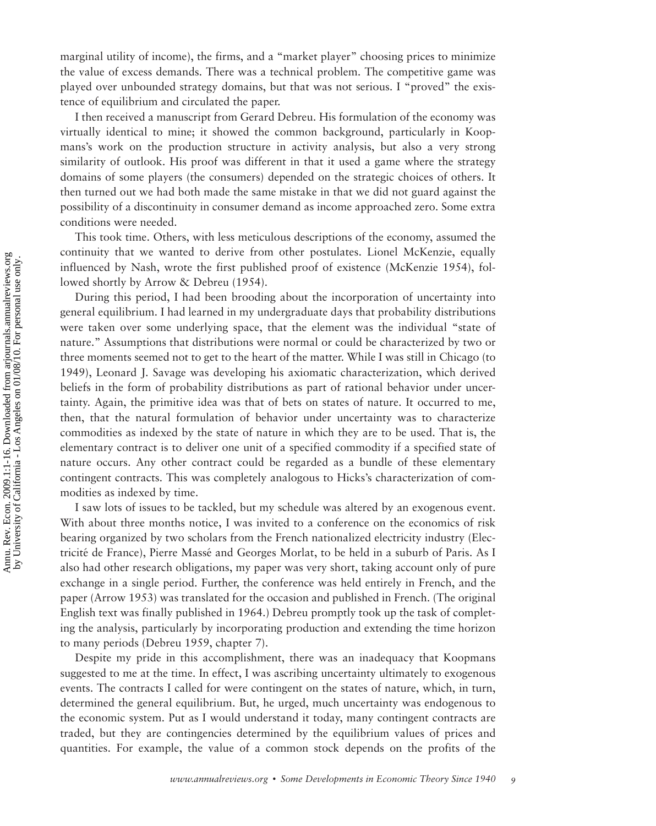marginal utility of income), the firms, and a "market player" choosing prices to minimize the value of excess demands. There was a technical problem. The competitive game was played over unbounded strategy domains, but that was not serious. I "proved" the existence of equilibrium and circulated the paper.

I then received a manuscript from Gerard Debreu. His formulation of the economy was virtually identical to mine; it showed the common background, particularly in Koopmans's work on the production structure in activity analysis, but also a very strong similarity of outlook. His proof was different in that it used a game where the strategy domains of some players (the consumers) depended on the strategic choices of others. It then turned out we had both made the same mistake in that we did not guard against the possibility of a discontinuity in consumer demand as income approached zero. Some extra conditions were needed.

This took time. Others, with less meticulous descriptions of the economy, assumed the continuity that we wanted to derive from other postulates. Lionel McKenzie, equally influenced by Nash, wrote the first published proof of existence (McKenzie 1954), followed shortly by Arrow & Debreu (1954).

During this period, I had been brooding about the incorporation of uncertainty into general equilibrium. I had learned in my undergraduate days that probability distributions were taken over some underlying space, that the element was the individual "state of nature." Assumptions that distributions were normal or could be characterized by two or three moments seemed not to get to the heart of the matter. While I was still in Chicago (to 1949), Leonard J. Savage was developing his axiomatic characterization, which derived beliefs in the form of probability distributions as part of rational behavior under uncertainty. Again, the primitive idea was that of bets on states of nature. It occurred to me, then, that the natural formulation of behavior under uncertainty was to characterize commodities as indexed by the state of nature in which they are to be used. That is, the elementary contract is to deliver one unit of a specified commodity if a specified state of nature occurs. Any other contract could be regarded as a bundle of these elementary contingent contracts. This was completely analogous to Hicks's characterization of commodities as indexed by time.

I saw lots of issues to be tackled, but my schedule was altered by an exogenous event. With about three months notice, I was invited to a conference on the economics of risk bearing organized by two scholars from the French nationalized electricity industry (Electricite´ de France), Pierre Masse´ and Georges Morlat, to be held in a suburb of Paris. As I also had other research obligations, my paper was very short, taking account only of pure exchange in a single period. Further, the conference was held entirely in French, and the paper (Arrow 1953) was translated for the occasion and published in French. (The original English text was finally published in 1964.) Debreu promptly took up the task of completing the analysis, particularly by incorporating production and extending the time horizon to many periods (Debreu 1959, chapter 7).

Despite my pride in this accomplishment, there was an inadequacy that Koopmans suggested to me at the time. In effect, I was ascribing uncertainty ultimately to exogenous events. The contracts I called for were contingent on the states of nature, which, in turn, determined the general equilibrium. But, he urged, much uncertainty was endogenous to the economic system. Put as I would understand it today, many contingent contracts are traded, but they are contingencies determined by the equilibrium values of prices and quantities. For example, the value of a common stock depends on the profits of the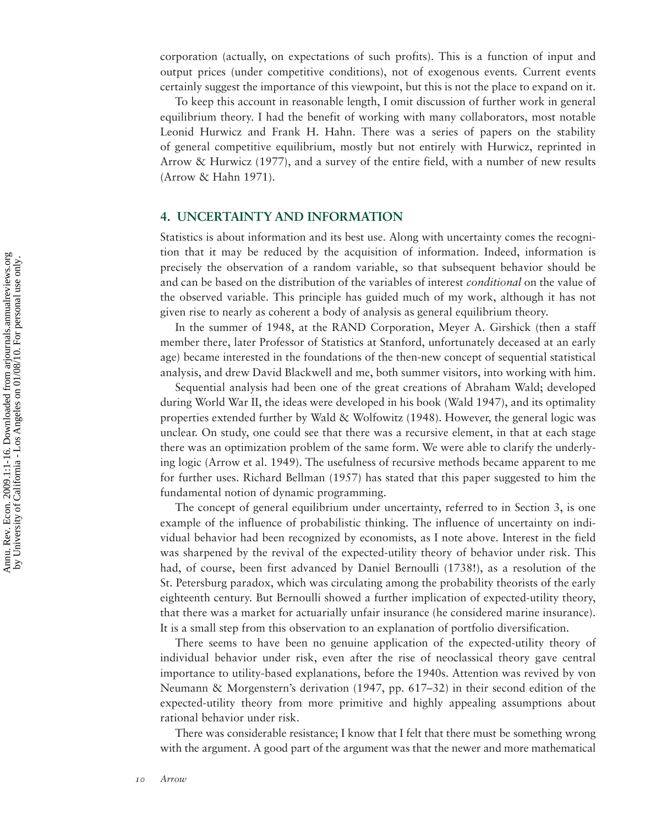corporation (actually, on expectations of such profits). This is a function of input and output prices (under competitive conditions), not of exogenous events. Current events certainly suggest the importance of this viewpoint, but this is not the place to expand on it.

To keep this account in reasonable length, I omit discussion of further work in general equilibrium theory. I had the benefit of working with many collaborators, most notable Leonid Hurwicz and Frank H. Hahn. There was a series of papers on the stability of general competitive equilibrium, mostly but not entirely with Hurwicz, reprinted in Arrow & Hurwicz (1977), and a survey of the entire field, with a number of new results (Arrow & Hahn 1971).

#### 4. UNCERTAINTY AND INFORMATION

Statistics is about information and its best use. Along with uncertainty comes the recognition that it may be reduced by the acquisition of information. Indeed, information is precisely the observation of a random variable, so that subsequent behavior should be and can be based on the distribution of the variables of interest *conditional* on the value of the observed variable. This principle has guided much of my work, although it has not given rise to nearly as coherent a body of analysis as general equilibrium theory.

In the summer of 1948, at the RAND Corporation, Meyer A. Girshick (then a staff member there, later Professor of Statistics at Stanford, unfortunately deceased at an early age) became interested in the foundations of the then-new concept of sequential statistical analysis, and drew David Blackwell and me, both summer visitors, into working with him.

Sequential analysis had been one of the great creations of Abraham Wald; developed during World War II, the ideas were developed in his book (Wald 1947), and its optimality properties extended further by Wald & Wolfowitz (1948). However, the general logic was unclear. On study, one could see that there was a recursive element, in that at each stage there was an optimization problem of the same form. We were able to clarify the underlying logic (Arrow et al. 1949). The usefulness of recursive methods became apparent to me for further uses. Richard Bellman (1957) has stated that this paper suggested to him the fundamental notion of dynamic programming.

The concept of general equilibrium under uncertainty, referred to in Section 3, is one example of the influence of probabilistic thinking. The influence of uncertainty on individual behavior had been recognized by economists, as I note above. Interest in the field was sharpened by the revival of the expected-utility theory of behavior under risk. This had, of course, been first advanced by Daniel Bernoulli (1738!), as a resolution of the St. Petersburg paradox, which was circulating among the probability theorists of the early eighteenth century. But Bernoulli showed a further implication of expected-utility theory, that there was a market for actuarially unfair insurance (he considered marine insurance). It is a small step from this observation to an explanation of portfolio diversification.

There seems to have been no genuine application of the expected-utility theory of individual behavior under risk, even after the rise of neoclassical theory gave central importance to utility-based explanations, before the 1940s. Attention was revived by von Neumann & Morgenstern's derivation (1947, pp. 617–32) in their second edition of the expected-utility theory from more primitive and highly appealing assumptions about rational behavior under risk.

There was considerable resistance; I know that I felt that there must be something wrong with the argument. A good part of the argument was that the newer and more mathematical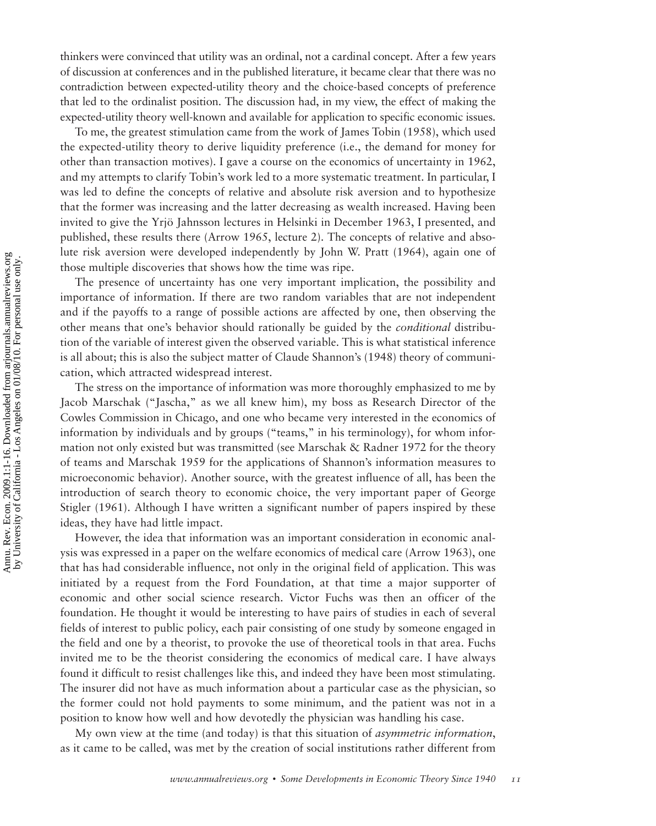thinkers were convinced that utility was an ordinal, not a cardinal concept. After a few years of discussion at conferences and in the published literature, it became clear that there was no contradiction between expected-utility theory and the choice-based concepts of preference that led to the ordinalist position. The discussion had, in my view, the effect of making the expected-utility theory well-known and available for application to specific economic issues.

To me, the greatest stimulation came from the work of James Tobin (1958), which used the expected-utility theory to derive liquidity preference (i.e., the demand for money for other than transaction motives). I gave a course on the economics of uncertainty in 1962, and my attempts to clarify Tobin's work led to a more systematic treatment. In particular, I was led to define the concepts of relative and absolute risk aversion and to hypothesize that the former was increasing and the latter decreasing as wealth increased. Having been invited to give the Yrjö Jahnsson lectures in Helsinki in December 1963, I presented, and published, these results there (Arrow 1965, lecture 2). The concepts of relative and absolute risk aversion were developed independently by John W. Pratt (1964), again one of those multiple discoveries that shows how the time was ripe.

The presence of uncertainty has one very important implication, the possibility and importance of information. If there are two random variables that are not independent and if the payoffs to a range of possible actions are affected by one, then observing the other means that one's behavior should rationally be guided by the conditional distribution of the variable of interest given the observed variable. This is what statistical inference is all about; this is also the subject matter of Claude Shannon's (1948) theory of communication, which attracted widespread interest.

The stress on the importance of information was more thoroughly emphasized to me by Jacob Marschak ("Jascha," as we all knew him), my boss as Research Director of the Cowles Commission in Chicago, and one who became very interested in the economics of information by individuals and by groups ("teams," in his terminology), for whom information not only existed but was transmitted (see Marschak & Radner 1972 for the theory of teams and Marschak 1959 for the applications of Shannon's information measures to microeconomic behavior). Another source, with the greatest influence of all, has been the introduction of search theory to economic choice, the very important paper of George Stigler (1961). Although I have written a significant number of papers inspired by these ideas, they have had little impact.

However, the idea that information was an important consideration in economic analysis was expressed in a paper on the welfare economics of medical care (Arrow 1963), one that has had considerable influence, not only in the original field of application. This was initiated by a request from the Ford Foundation, at that time a major supporter of economic and other social science research. Victor Fuchs was then an officer of the foundation. He thought it would be interesting to have pairs of studies in each of several fields of interest to public policy, each pair consisting of one study by someone engaged in the field and one by a theorist, to provoke the use of theoretical tools in that area. Fuchs invited me to be the theorist considering the economics of medical care. I have always found it difficult to resist challenges like this, and indeed they have been most stimulating. The insurer did not have as much information about a particular case as the physician, so the former could not hold payments to some minimum, and the patient was not in a position to know how well and how devotedly the physician was handling his case.

My own view at the time (and today) is that this situation of *asymmetric information*, as it came to be called, was met by the creation of social institutions rather different from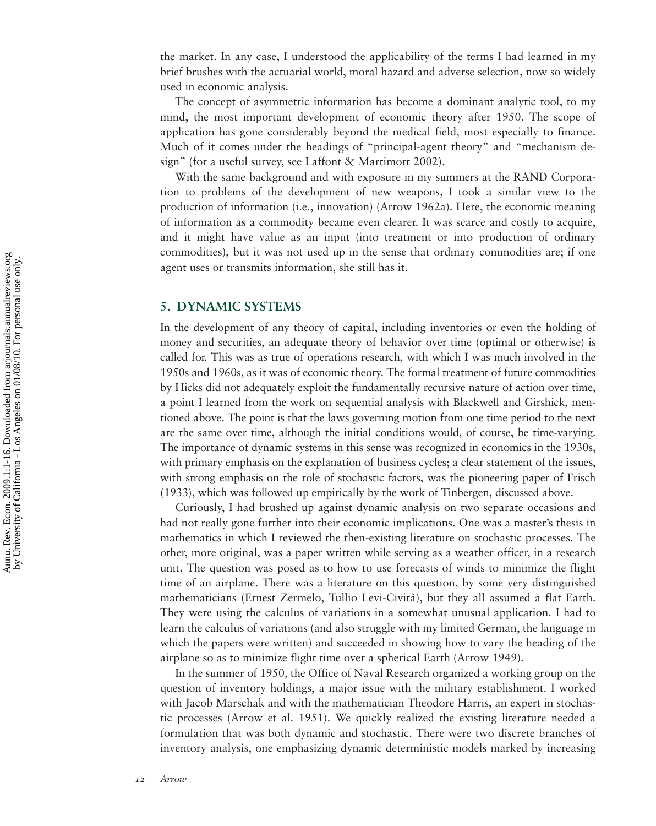the market. In any case, I understood the applicability of the terms I had learned in my brief brushes with the actuarial world, moral hazard and adverse selection, now so widely used in economic analysis.

The concept of asymmetric information has become a dominant analytic tool, to my mind, the most important development of economic theory after 1950. The scope of application has gone considerably beyond the medical field, most especially to finance. Much of it comes under the headings of "principal-agent theory" and "mechanism design" (for a useful survey, see Laffont & Martimort 2002).

With the same background and with exposure in my summers at the RAND Corporation to problems of the development of new weapons, I took a similar view to the production of information (i.e., innovation) (Arrow 1962a). Here, the economic meaning of information as a commodity became even clearer. It was scarce and costly to acquire, and it might have value as an input (into treatment or into production of ordinary commodities), but it was not used up in the sense that ordinary commodities are; if one agent uses or transmits information, she still has it.

#### 5. DYNAMIC SYSTEMS

In the development of any theory of capital, including inventories or even the holding of money and securities, an adequate theory of behavior over time (optimal or otherwise) is called for. This was as true of operations research, with which I was much involved in the 1950s and 1960s, as it was of economic theory. The formal treatment of future commodities by Hicks did not adequately exploit the fundamentally recursive nature of action over time, a point I learned from the work on sequential analysis with Blackwell and Girshick, mentioned above. The point is that the laws governing motion from one time period to the next are the same over time, although the initial conditions would, of course, be time-varying. The importance of dynamic systems in this sense was recognized in economics in the 1930s, with primary emphasis on the explanation of business cycles; a clear statement of the issues, with strong emphasis on the role of stochastic factors, was the pioneering paper of Frisch (1933), which was followed up empirically by the work of Tinbergen, discussed above.

Curiously, I had brushed up against dynamic analysis on two separate occasions and had not really gone further into their economic implications. One was a master's thesis in mathematics in which I reviewed the then-existing literature on stochastic processes. The other, more original, was a paper written while serving as a weather officer, in a research unit. The question was posed as to how to use forecasts of winds to minimize the flight time of an airplane. There was a literature on this question, by some very distinguished mathematicians (Ernest Zermelo, Tullio Levi-Cività), but they all assumed a flat Earth. They were using the calculus of variations in a somewhat unusual application. I had to learn the calculus of variations (and also struggle with my limited German, the language in which the papers were written) and succeeded in showing how to vary the heading of the airplane so as to minimize flight time over a spherical Earth (Arrow 1949).

In the summer of 1950, the Office of Naval Research organized a working group on the question of inventory holdings, a major issue with the military establishment. I worked with Jacob Marschak and with the mathematician Theodore Harris, an expert in stochastic processes (Arrow et al. 1951). We quickly realized the existing literature needed a formulation that was both dynamic and stochastic. There were two discrete branches of inventory analysis, one emphasizing dynamic deterministic models marked by increasing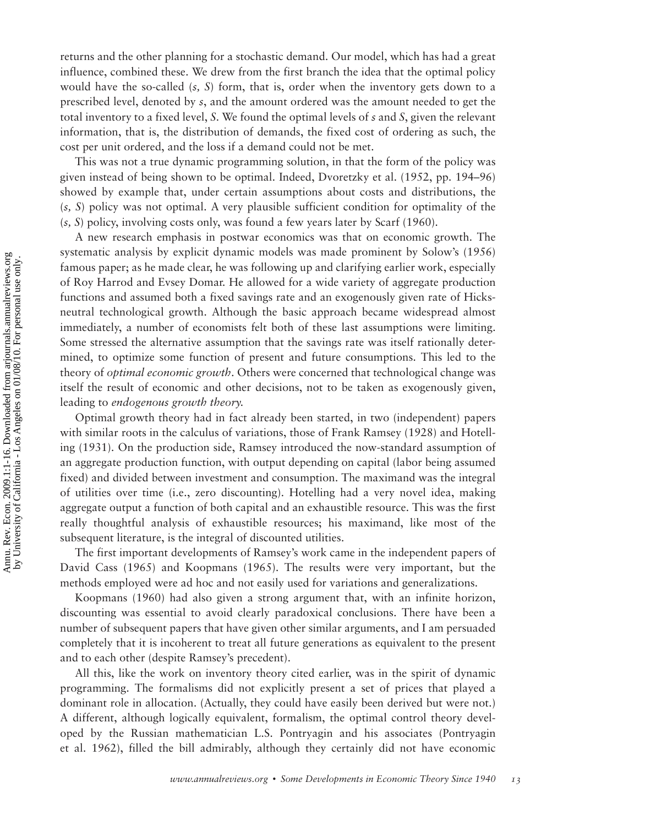returns and the other planning for a stochastic demand. Our model, which has had a great influence, combined these. We drew from the first branch the idea that the optimal policy would have the so-called  $(s, S)$  form, that is, order when the inventory gets down to a prescribed level, denoted by s, and the amount ordered was the amount needed to get the total inventory to a fixed level, S. We found the optimal levels of s and  $S$ , given the relevant information, that is, the distribution of demands, the fixed cost of ordering as such, the cost per unit ordered, and the loss if a demand could not be met.

This was not a true dynamic programming solution, in that the form of the policy was given instead of being shown to be optimal. Indeed, Dvoretzky et al. (1952, pp. 194–96) showed by example that, under certain assumptions about costs and distributions, the (s, S) policy was not optimal. A very plausible sufficient condition for optimality of the  $(s, S)$  policy, involving costs only, was found a few years later by Scarf (1960).

A new research emphasis in postwar economics was that on economic growth. The systematic analysis by explicit dynamic models was made prominent by Solow's (1956) famous paper; as he made clear, he was following up and clarifying earlier work, especially of Roy Harrod and Evsey Domar. He allowed for a wide variety of aggregate production functions and assumed both a fixed savings rate and an exogenously given rate of Hicksneutral technological growth. Although the basic approach became widespread almost immediately, a number of economists felt both of these last assumptions were limiting. Some stressed the alternative assumption that the savings rate was itself rationally determined, to optimize some function of present and future consumptions. This led to the theory of optimal economic growth. Others were concerned that technological change was itself the result of economic and other decisions, not to be taken as exogenously given, leading to endogenous growth theory.

Optimal growth theory had in fact already been started, in two (independent) papers with similar roots in the calculus of variations, those of Frank Ramsey (1928) and Hotelling (1931). On the production side, Ramsey introduced the now-standard assumption of an aggregate production function, with output depending on capital (labor being assumed fixed) and divided between investment and consumption. The maximand was the integral of utilities over time (i.e., zero discounting). Hotelling had a very novel idea, making aggregate output a function of both capital and an exhaustible resource. This was the first really thoughtful analysis of exhaustible resources; his maximand, like most of the subsequent literature, is the integral of discounted utilities.

The first important developments of Ramsey's work came in the independent papers of David Cass (1965) and Koopmans (1965). The results were very important, but the methods employed were ad hoc and not easily used for variations and generalizations.

Koopmans (1960) had also given a strong argument that, with an infinite horizon, discounting was essential to avoid clearly paradoxical conclusions. There have been a number of subsequent papers that have given other similar arguments, and I am persuaded completely that it is incoherent to treat all future generations as equivalent to the present and to each other (despite Ramsey's precedent).

All this, like the work on inventory theory cited earlier, was in the spirit of dynamic programming. The formalisms did not explicitly present a set of prices that played a dominant role in allocation. (Actually, they could have easily been derived but were not.) A different, although logically equivalent, formalism, the optimal control theory developed by the Russian mathematician L.S. Pontryagin and his associates (Pontryagin et al. 1962), filled the bill admirably, although they certainly did not have economic

Annu. Rev. Econ. 2009.1:1-16. Downloaded from arjournals.annualreviews.org<br>by University of California - Los Angeles on 01/08/10. For personal use only. Annu. Rev. Econ. 2009.1:1-16. Downloaded from arjournals.annualreviews.org by University of California - Los Angeles on 01/08/10. For personal use only.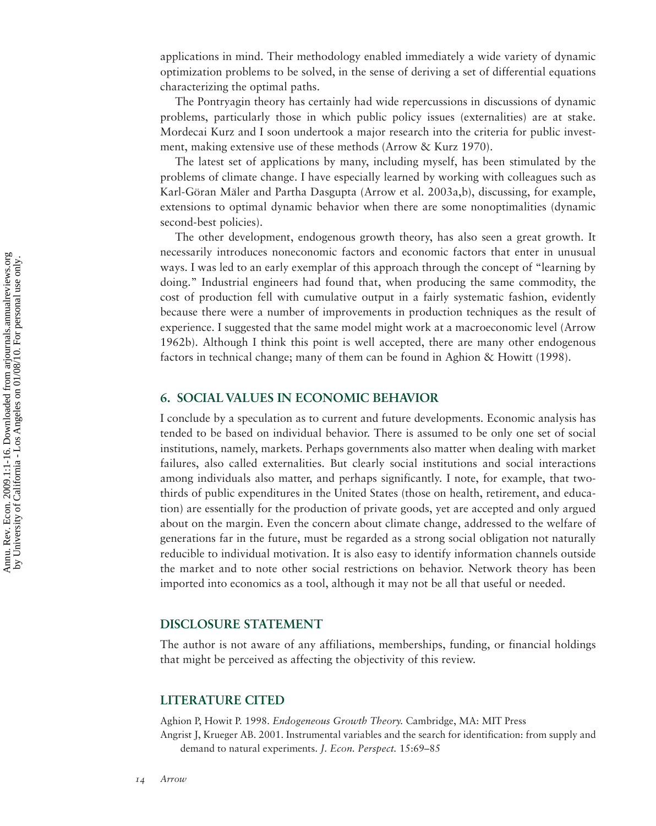applications in mind. Their methodology enabled immediately a wide variety of dynamic optimization problems to be solved, in the sense of deriving a set of differential equations characterizing the optimal paths.

The Pontryagin theory has certainly had wide repercussions in discussions of dynamic problems, particularly those in which public policy issues (externalities) are at stake. Mordecai Kurz and I soon undertook a major research into the criteria for public investment, making extensive use of these methods (Arrow & Kurz 1970).

The latest set of applications by many, including myself, has been stimulated by the problems of climate change. I have especially learned by working with colleagues such as Karl-Göran Mäler and Partha Dasgupta (Arrow et al. 2003a,b), discussing, for example, extensions to optimal dynamic behavior when there are some nonoptimalities (dynamic second-best policies).

The other development, endogenous growth theory, has also seen a great growth. It necessarily introduces noneconomic factors and economic factors that enter in unusual ways. I was led to an early exemplar of this approach through the concept of "learning by doing." Industrial engineers had found that, when producing the same commodity, the cost of production fell with cumulative output in a fairly systematic fashion, evidently because there were a number of improvements in production techniques as the result of experience. I suggested that the same model might work at a macroeconomic level (Arrow 1962b). Although I think this point is well accepted, there are many other endogenous factors in technical change; many of them can be found in Aghion & Howitt (1998).

#### 6. SOCIAL VALUES IN ECONOMIC BEHAVIOR

I conclude by a speculation as to current and future developments. Economic analysis has tended to be based on individual behavior. There is assumed to be only one set of social institutions, namely, markets. Perhaps governments also matter when dealing with market failures, also called externalities. But clearly social institutions and social interactions among individuals also matter, and perhaps significantly. I note, for example, that twothirds of public expenditures in the United States (those on health, retirement, and education) are essentially for the production of private goods, yet are accepted and only argued about on the margin. Even the concern about climate change, addressed to the welfare of generations far in the future, must be regarded as a strong social obligation not naturally reducible to individual motivation. It is also easy to identify information channels outside the market and to note other social restrictions on behavior. Network theory has been imported into economics as a tool, although it may not be all that useful or needed.

#### DISCLOSURE STATEMENT

The author is not aware of any affiliations, memberships, funding, or financial holdings that might be perceived as affecting the objectivity of this review.

#### LITERATURE CITED

Aghion P, Howit P. 1998. Endogeneous Growth Theory. Cambridge, MA: MIT Press Angrist J, Krueger AB. 2001. Instrumental variables and the search for identification: from supply and demand to natural experiments. J. Econ. Perspect. 15:69–85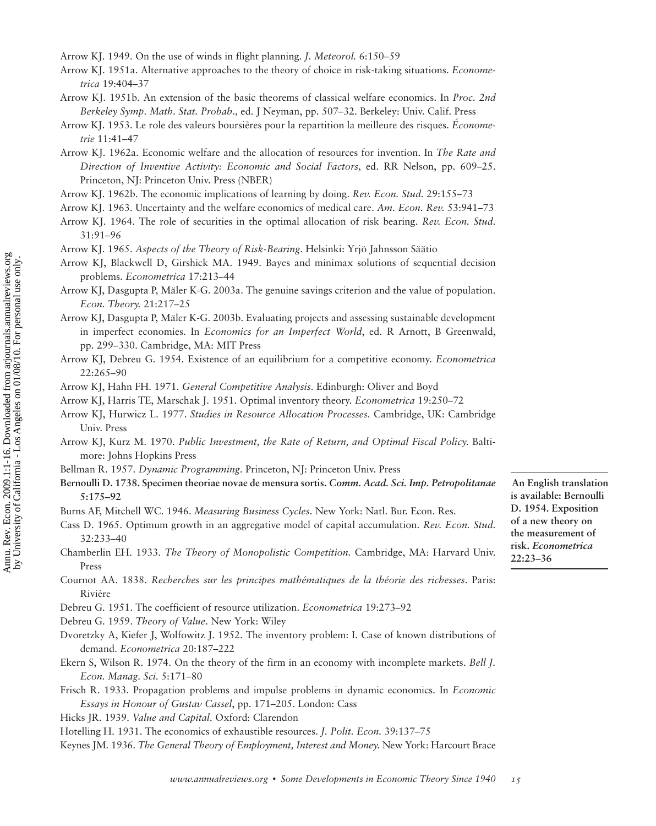- Arrow KJ. 1949. On the use of winds in flight planning. J. Meteorol. 6:150–59
- Arrow KJ. 1951a. Alternative approaches to the theory of choice in risk-taking situations. Econometrica 19:404–37
- Arrow KJ. 1951b. An extension of the basic theorems of classical welfare economics. In Proc. 2nd Berkeley Symp. Math. Stat. Probab., ed. J Neyman, pp. 507–32. Berkeley: Univ. Calif. Press
- Arrow KJ. 1953. Le role des valeurs boursières pour la repartition la meilleure des risques. É $\epsilon$ onometrie 11:41–47
- Arrow KJ. 1962a. Economic welfare and the allocation of resources for invention. In The Rate and Direction of Inventive Activity: Economic and Social Factors, ed. RR Nelson, pp. 609–25. Princeton, NJ: Princeton Univ. Press (NBER)
- Arrow KJ. 1962b. The economic implications of learning by doing. Rev. Econ. Stud. 29:155–73
- Arrow KJ. 1963. Uncertainty and the welfare economics of medical care. Am. Econ. Rev. 53:941–73
- Arrow KJ. 1964. The role of securities in the optimal allocation of risk bearing. Rev. Econ. Stud. 31:91–96
- Arrow KJ. 1965. Aspects of the Theory of Risk-Bearing. Helsinki: Yrjö Jahnsson Säätio
- Arrow KJ, Blackwell D, Girshick MA. 1949. Bayes and minimax solutions of sequential decision problems. Econometrica 17:213–44
- Arrow KJ, Dasgupta P, Mäler K-G. 2003a. The genuine savings criterion and the value of population. Econ. Theory. 21:217–25
- Arrow KJ, Dasgupta P, Mäler K-G. 2003b. Evaluating projects and assessing sustainable development in imperfect economies. In Economics for an Imperfect World, ed. R Arnott, B Greenwald, pp. 299–330. Cambridge, MA: MIT Press
- Arrow KJ, Debreu G. 1954. Existence of an equilibrium for a competitive economy. Econometrica 22:265–90
- Arrow KJ, Hahn FH. 1971. General Competitive Analysis. Edinburgh: Oliver and Boyd
- Arrow KJ, Harris TE, Marschak J. 1951. Optimal inventory theory. Econometrica 19:250–72
- Arrow KJ, Hurwicz L. 1977. Studies in Resource Allocation Processes. Cambridge, UK: Cambridge Univ. Press
- Arrow KJ, Kurz M. 1970. Public Investment, the Rate of Return, and Optimal Fiscal Policy. Baltimore: Johns Hopkins Press
- Bellman R. 1957. Dynamic Programming. Princeton, NJ: Princeton Univ. Press
- Bernoulli D. 1738. Specimen theoriae novae de mensura sortis. Comm. Acad. Sci. Imp. Petropolitanae 5:175–92
- Burns AF, Mitchell WC. 1946. Measuring Business Cycles. New York: Natl. Bur. Econ. Res.
- Cass D. 1965. Optimum growth in an aggregative model of capital accumulation. Rev. Econ. Stud. 32:233–40
- Chamberlin EH. 1933. The Theory of Monopolistic Competition. Cambridge, MA: Harvard Univ. Press
- Cournot AA. 1838. Recherches sur les principes mathématiques de la théorie des richesses. Paris: Rivière
- Debreu G. 1951. The coefficient of resource utilization. Econometrica 19:273–92
- Debreu G. 1959. Theory of Value. New York: Wiley
- Dvoretzky A, Kiefer J, Wolfowitz J. 1952. The inventory problem: I. Case of known distributions of demand. Econometrica 20:187–222
- Ekern S, Wilson R. 1974. On the theory of the firm in an economy with incomplete markets. Bell J. Econ. Manag. Sci. 5:171–80
- Frisch R. 1933. Propagation problems and impulse problems in dynamic economics. In Economic Essays in Honour of Gustav Cassel, pp. 171–205. London: Cass
- Hicks JR. 1939. Value and Capital. Oxford: Clarendon
- Hotelling H. 1931. The economics of exhaustible resources. J. Polit. Econ. 39:137–75
- Keynes JM. 1936. The General Theory of Employment, Interest and Money. New York: Harcourt Brace

An English translation is available: Bernoulli D. 1954. Exposition of a new theory on the measurement of risk. Econometrica 22:23–36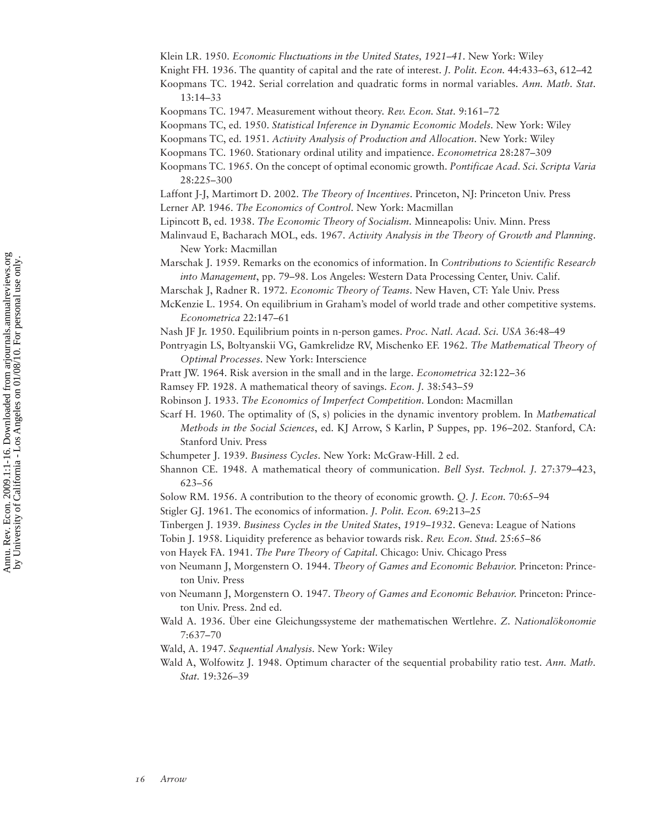- Knight FH. 1936. The quantity of capital and the rate of interest. J. Polit. Econ. 44:433–63, 612–42
- Koopmans TC. 1942. Serial correlation and quadratic forms in normal variables. Ann. Math. Stat. 13:14–33

Koopmans TC. 1947. Measurement without theory. Rev. Econ. Stat. 9:161–72

Koopmans TC, ed. 1950. Statistical Inference in Dynamic Economic Models. New York: Wiley

- Koopmans TC, ed. 1951. Activity Analysis of Production and Allocation. New York: Wiley
- Koopmans TC. 1960. Stationary ordinal utility and impatience. Econometrica 28:287–309
- Koopmans TC. 1965. On the concept of optimal economic growth. Pontificae Acad. Sci. Scripta Varia 28:225–300
- Laffont J-J, Martimort D. 2002. The Theory of Incentives. Princeton, NJ: Princeton Univ. Press
- Lerner AP. 1946. The Economics of Control. New York: Macmillan
- Lipincott B, ed. 1938. The Economic Theory of Socialism. Minneapolis: Univ. Minn. Press
- Malinvaud E, Bacharach MOL, eds. 1967. Activity Analysis in the Theory of Growth and Planning. New York: Macmillan
- Marschak J. 1959. Remarks on the economics of information. In Contributions to Scientific Research into Management, pp. 79–98. Los Angeles: Western Data Processing Center, Univ. Calif.

Marschak J, Radner R. 1972. Economic Theory of Teams. New Haven, CT: Yale Univ. Press

- McKenzie L. 1954. On equilibrium in Graham's model of world trade and other competitive systems. Econometrica 22:147–61
- Nash JF Jr. 1950. Equilibrium points in n-person games. Proc. Natl. Acad. Sci. USA 36:48–49
- Pontryagin LS, Boltyanskii VG, Gamkrelidze RV, Mischenko EF. 1962. The Mathematical Theory of Optimal Processes. New York: Interscience
- Pratt JW. 1964. Risk aversion in the small and in the large. Econometrica 32:122–36
- Ramsey FP. 1928. A mathematical theory of savings. Econ. J. 38:543–59
- Robinson J. 1933. The Economics of Imperfect Competition. London: Macmillan
- Scarf H. 1960. The optimality of (S, s) policies in the dynamic inventory problem. In Mathematical Methods in the Social Sciences, ed. KJ Arrow, S Karlin, P Suppes, pp. 196–202. Stanford, CA: Stanford Univ. Press
- Schumpeter J. 1939. Business Cycles. New York: McGraw-Hill. 2 ed.
- Shannon CE. 1948. A mathematical theory of communication. Bell Syst. Technol. J. 27:379–423, 623–56
- Solow RM. 1956. A contribution to the theory of economic growth. Q. J. Econ. 70:65–94

Stigler GJ. 1961. The economics of information. J. Polit. Econ. 69:213–25

Tinbergen J. 1939. Business Cycles in the United States, 1919–1932. Geneva: League of Nations

Tobin J. 1958. Liquidity preference as behavior towards risk. Rev. Econ. Stud. 25:65–86

- von Hayek FA. 1941. The Pure Theory of Capital. Chicago: Univ. Chicago Press
- von Neumann J, Morgenstern O. 1944. Theory of Games and Economic Behavior. Princeton: Princeton Univ. Press
- von Neumann J, Morgenstern O. 1947. Theory of Games and Economic Behavior. Princeton: Princeton Univ. Press. 2nd ed.
- Wald A. 1936. Über eine Gleichungssysteme der mathematischen Wertlehre. Z. Nationalökonomie 7:637–70

Wald, A. 1947. Sequential Analysis. New York: Wiley

Wald A, Wolfowitz J. 1948. Optimum character of the sequential probability ratio test. Ann. Math. Stat. 19:326–39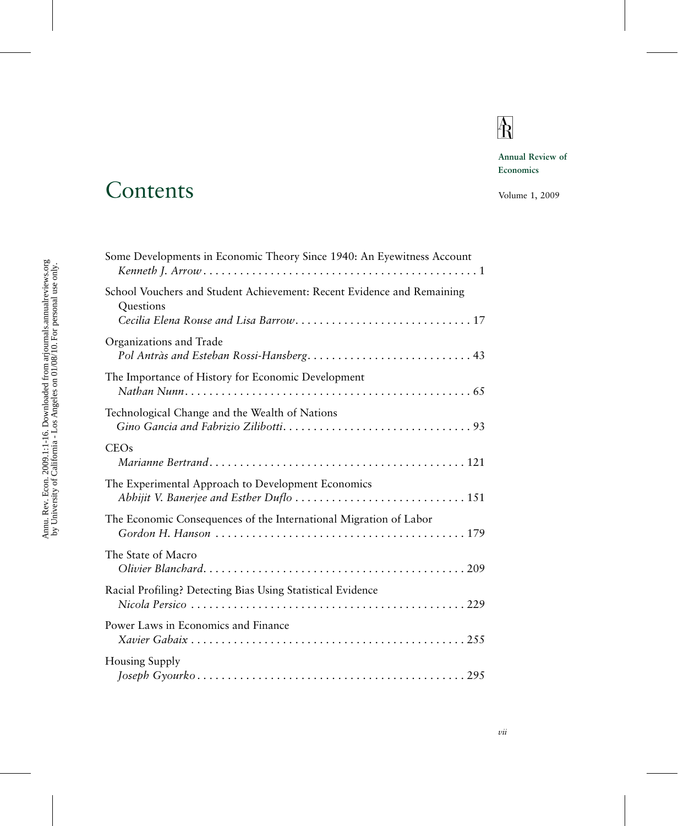# $\overline{R}$

Annual Review of Economics

## **Contents**

Volume 1, 2009

| Some Developments in Economic Theory Since 1940: An Eyewitness Account              |
|-------------------------------------------------------------------------------------|
| School Vouchers and Student Achievement: Recent Evidence and Remaining<br>Questions |
|                                                                                     |
| Organizations and Trade                                                             |
| The Importance of History for Economic Development                                  |
| Technological Change and the Wealth of Nations                                      |
| CEOs                                                                                |
| The Experimental Approach to Development Economics                                  |
| The Economic Consequences of the International Migration of Labor                   |
| The State of Macro                                                                  |
| Racial Profiling? Detecting Bias Using Statistical Evidence                         |
| Power Laws in Economics and Finance                                                 |
| <b>Housing Supply</b>                                                               |